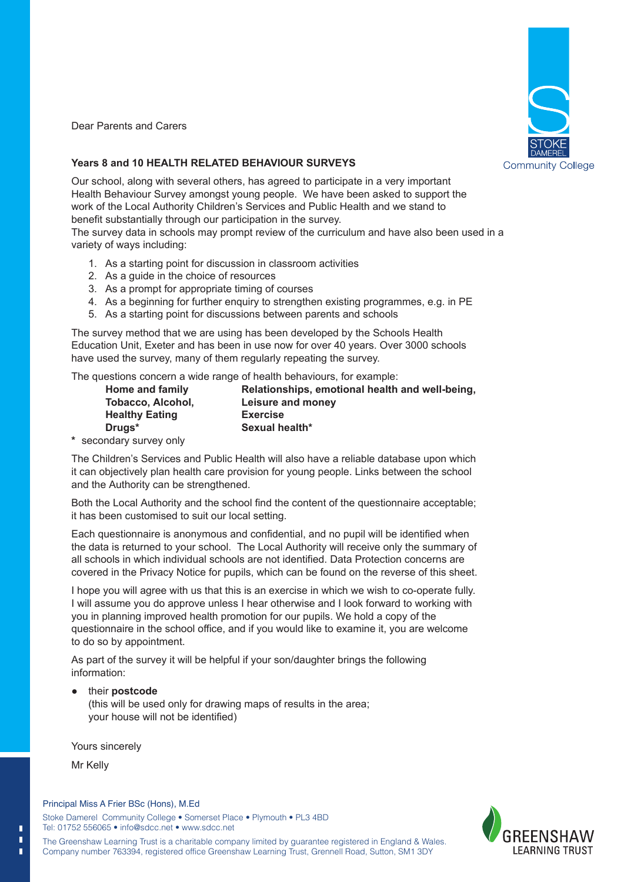

Dear Parents and Carers

#### **Years 8 and 10 HEALTH RELATED BEHAVIOUR SURVEYS**

Our school, along with several others, has agreed to participate in a very important Health Behaviour Survey amongst young people. We have been asked to support the work of the Local Authority Children's Services and Public Health and we stand to benefit substantially through our participation in the survey.

The survey data in schools may prompt review of the curriculum and have also been used in a variety of ways including:

- 1. As a starting point for discussion in classroom activities
- 2. As a guide in the choice of resources
- 3. As a prompt for appropriate timing of courses
- 4. As a beginning for further enquiry to strengthen existing programmes, e.g. in PE
- 5. As a starting point for discussions between parents and schools

The survey method that we are using has been developed by the Schools Health Education Unit, Exeter and has been in use now for over 40 years. Over 3000 schools have used the survey, many of them regularly repeating the survey.

The questions concern a wide range of health behaviours, for example:

| <b>Home and family</b>   |
|--------------------------|
| <b>Tobacco, Alcohol,</b> |
| <b>Healthy Eating</b>    |
| Drugs*                   |

**Home and family Relationships, emotional health and well-being, Tobacco, Alcohol, Leisure and money Exercise Drugs\* Sexual health\***

**\*** secondary survey only

The Children's Services and Public Health will also have a reliable database upon which it can objectively plan health care provision for young people. Links between the school and the Authority can be strengthened.

Both the Local Authority and the school find the content of the questionnaire acceptable; it has been customised to suit our local setting.

Each questionnaire is anonymous and confidential, and no pupil will be identified when the data is returned to your school. The Local Authority will receive only the summary of all schools in which individual schools are not identified. Data Protection concerns are covered in the Privacy Notice for pupils, which can be found on the reverse of this sheet.

I hope you will agree with us that this is an exercise in which we wish to co-operate fully. I will assume you do approve unless I hear otherwise and I look forward to working with you in planning improved health promotion for our pupils. We hold a copy of the questionnaire in the school office, and if you would like to examine it, you are welcome to do so by appointment.

As part of the survey it will be helpful if your son/daughter brings the following information:

their **postcode** 

(this will be used only for drawing maps of results in the area; your house will not be identified)

Yours sincerely

Mr Kelly

г п П

#### Principal Miss A Frier BSc (Hons), M.Ed

Stoke Damerel Community College • Somerset Place • Plymouth • PL3 4BD Tel: 01752 556065 • info@sdcc.net • www.sdcc.net